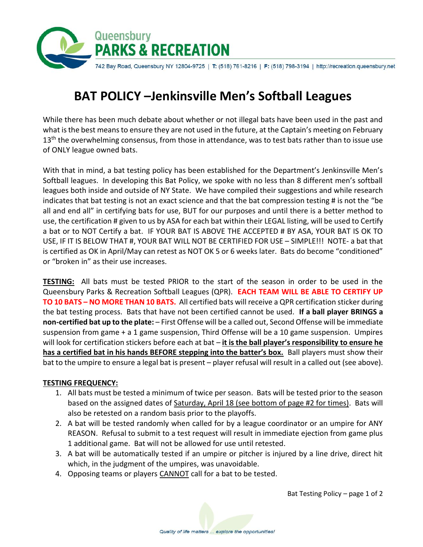

## **BAT POLICY –Jenkinsville Men's Softball Leagues**

While there has been much debate about whether or not illegal bats have been used in the past and what is the best means to ensure they are not used in the future, at the Captain's meeting on February  $13<sup>th</sup>$  the overwhelming consensus, from those in attendance, was to test bats rather than to issue use of ONLY league owned bats.

With that in mind, a bat testing policy has been established for the Department's Jenkinsville Men's Softball leagues. In developing this Bat Policy, we spoke with no less than 8 different men's softball leagues both inside and outside of NY State. We have compiled their suggestions and while research indicates that bat testing is not an exact science and that the bat compression testing # is not the "be all and end all" in certifying bats for use, BUT for our purposes and until there is a better method to use, the certification # given to us by ASA for each bat within their LEGAL listing, will be used to Certify a bat or to NOT Certify a bat. IF YOUR BAT IS ABOVE THE ACCEPTED # BY ASA, YOUR BAT IS OK TO USE, IF IT IS BELOW THAT #, YOUR BAT WILL NOT BE CERTIFIED FOR USE – SIMPLE!!! NOTE- a bat that is certified as OK in April/May can retest as NOT OK 5 or 6 weeks later. Bats do become "conditioned" or "broken in" as their use increases.

**TESTING:** All bats must be tested PRIOR to the start of the season in order to be used in the Queensbury Parks & Recreation Softball Leagues (QPR). **EACH TEAM WILL BE ABLE TO CERTIFY UP TO 10 BATS – NO MORE THAN 10 BATS.** All certified bats will receive a QPR certification sticker during the bat testing process. Bats that have not been certified cannot be used. **If a ball player BRINGS a non-certified bat up to the plate:** – First Offense will be a called out, Second Offense will be immediate suspension from game + a 1 game suspension, Third Offense will be a 10 game suspension. Umpires will look for certification stickers before each at bat – **it is the ball player's responsibility to ensure he has a certified bat in his hands BEFORE stepping into the batter's box.** Ball players must show their bat to the umpire to ensure a legal bat is present – player refusal will result in a called out (see above).

## **TESTING FREQUENCY:**

- 1. All bats must be tested a minimum of twice per season. Bats will be tested prior to the season based on the assigned dates of Saturday, April 18 (see bottom of page #2 for times). Bats will also be retested on a random basis prior to the playoffs.
- 2. A bat will be tested randomly when called for by a league coordinator or an umpire for ANY REASON. Refusal to submit to a test request will result in immediate ejection from game plus 1 additional game. Bat will not be allowed for use until retested.
- 3. A bat will be automatically tested if an umpire or pitcher is injured by a line drive, direct hit which, in the judgment of the umpires, was unavoidable.
- 4. Opposing teams or players CANNOT call for a bat to be tested.

Bat Testing Policy – page 1 of 2